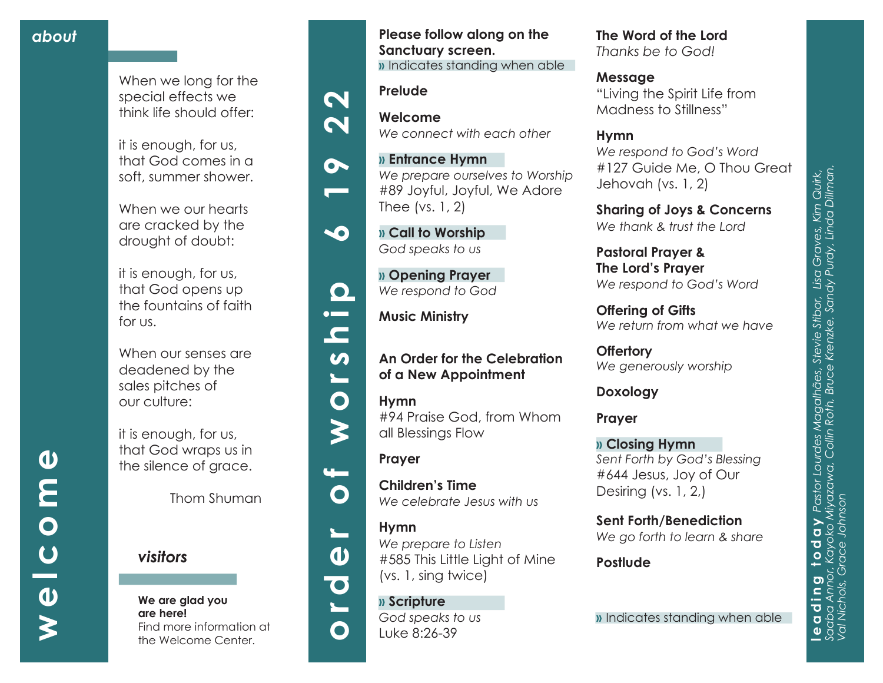## *about*

**welcome**

 $\overline{U}$ 

 $\boldsymbol{\omega}$ 

⋛

 $\overline{\mathbf{O}}$ 

 $\boldsymbol{\omega}$ 

E

When we long for the special effects we think life should offer:

it is enough, for us, that God comes in a soft, summer shower.

When we our hearts are cracked by the drought of doubt:

it is enough, for us, that God opens up the fountains of faith for us.

When our senses are deadened by the sales pitches of our culture:

it is enough, for us, that God wraps us in the silence of grace.

Thom Shuman

*visitors*

#### **We are glad you are here!** Find more information at the Welcome Center.









 $\blacksquare$ 

 $\boldsymbol{\omega}$  $\overline{\phantom{0}}$ 

 $\bullet$ 

 $\blacktriangleright$ 

u —

 $\mathbf O$ 

 $\blacktriangleright$ 

 $\boldsymbol{\omega}$ 

 $\bullet$ 

 $\mathbf O$ 



**» Opening Prayer**  *We respond to God*

**Music Ministry** 

## **An Order for the Celebration of a New Appointment**

**Please follow along on the** 

*We connect with each other* 

*We prepare ourselves to Worship* #89 Joyful, Joyful, We Adore

**»** Indicates standing when able

**Sanctuary screen.**

**» Entrance Hymn** 

Thee (vs. 1, 2)

**» Call to Worship**  *God speaks to us*

**Prelude**

**Welcome**

**Hymn**  #94 Praise God, from Whom all Blessings Flow

### **Prayer**

**Children's Time**  *We celebrate Jesus with us*

### **Hymn**

*We prepare to Listen*  #585 This Little Light of Mine (vs. 1, sing twice)

## **» Scripture**

*God speaks to us* Luke 8:26-39

**The Word of the Lord**  *Thanks be to God!*

**Message** "Living the Spirit Life from Madness to Stillness"

# **Hymn**

*We respond to God's Word* #127 Guide Me, O Thou Great Jehovah (vs. 1, 2)

**Sharing of Joys & Concerns** *We thank & trust the Lord*

**Pastoral Prayer & The Lord's Prayer** *We respond to God's Word*

**Offering of Gifts**  *We return from what we have*

**Offertory** *We generously worship*

**Doxology**

**Prayer**

**» Closing Hymn** *Sent Forth by God's Blessing* #644 Jesus, Joy of Our Desiring (vs. 1, 2,)

### **Sent Forth/Benediction**

*We go forth to learn & share*

**Postlude**

**»** Indicates standing when able